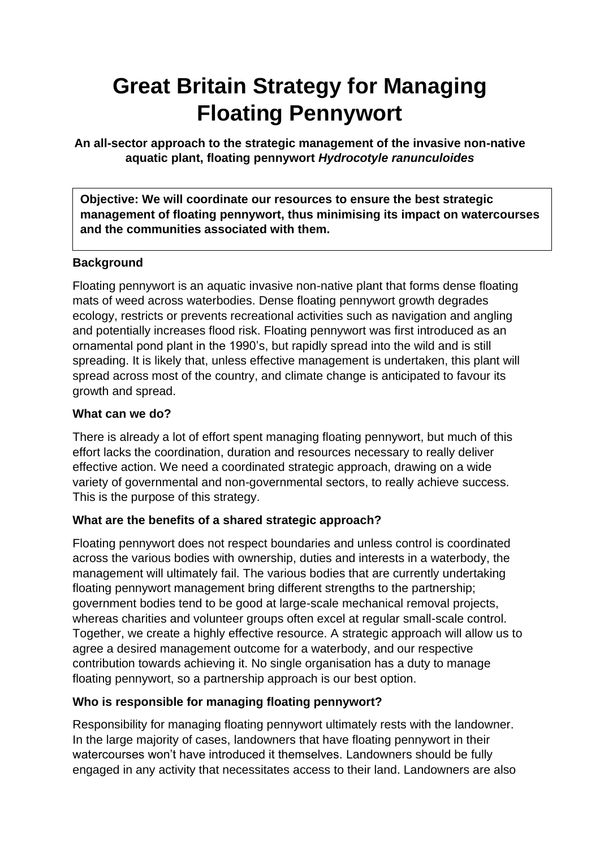# **Great Britain Strategy for Managing Floating Pennywort**

**An all-sector approach to the strategic management of the invasive non-native aquatic plant, floating pennywort** *Hydrocotyle ranunculoides*

**Objective: We will coordinate our resources to ensure the best strategic management of floating pennywort, thus minimising its impact on watercourses and the communities associated with them.**

## **Background**

Floating pennywort is an aquatic invasive non-native plant that forms dense floating mats of weed across waterbodies. Dense floating pennywort growth degrades ecology, restricts or prevents recreational activities such as navigation and angling and potentially increases flood risk. Floating pennywort was first introduced as an ornamental pond plant in the 1990's, but rapidly spread into the wild and is still spreading. It is likely that, unless effective management is undertaken, this plant will spread across most of the country, and climate change is anticipated to favour its growth and spread.

## **What can we do?**

There is already a lot of effort spent managing floating pennywort, but much of this effort lacks the coordination, duration and resources necessary to really deliver effective action. We need a coordinated strategic approach, drawing on a wide variety of governmental and non-governmental sectors, to really achieve success. This is the purpose of this strategy.

## **What are the benefits of a shared strategic approach?**

Floating pennywort does not respect boundaries and unless control is coordinated across the various bodies with ownership, duties and interests in a waterbody, the management will ultimately fail. The various bodies that are currently undertaking floating pennywort management bring different strengths to the partnership; government bodies tend to be good at large-scale mechanical removal projects, whereas charities and volunteer groups often excel at regular small-scale control. Together, we create a highly effective resource. A strategic approach will allow us to agree a desired management outcome for a waterbody, and our respective contribution towards achieving it. No single organisation has a duty to manage floating pennywort, so a partnership approach is our best option.

## **Who is responsible for managing floating pennywort?**

Responsibility for managing floating pennywort ultimately rests with the landowner. In the large majority of cases, landowners that have floating pennywort in their watercourses won't have introduced it themselves. Landowners should be fully engaged in any activity that necessitates access to their land. Landowners are also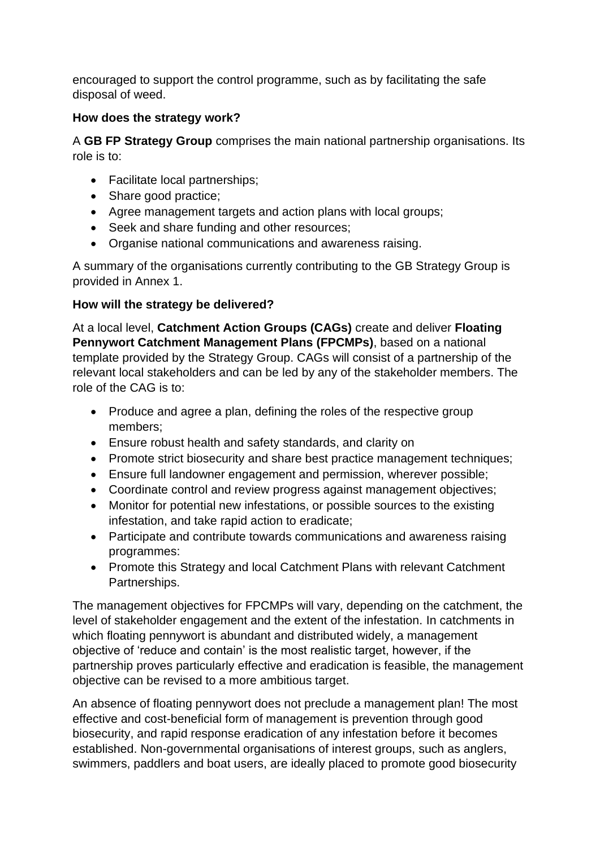encouraged to support the control programme, such as by facilitating the safe disposal of weed.

## **How does the strategy work?**

A **GB FP Strategy Group** comprises the main national partnership organisations. Its role is to:

- Facilitate local partnerships;
- Share good practice:
- Agree management targets and action plans with local groups;
- Seek and share funding and other resources:
- Organise national communications and awareness raising.

A summary of the organisations currently contributing to the GB Strategy Group is provided in Annex 1.

## **How will the strategy be delivered?**

At a local level, **Catchment Action Groups (CAGs)** create and deliver **Floating Pennywort Catchment Management Plans (FPCMPs)**, based on a national template provided by the Strategy Group. CAGs will consist of a partnership of the relevant local stakeholders and can be led by any of the stakeholder members. The role of the CAG is to:

- Produce and agree a plan, defining the roles of the respective group members;
- Ensure robust health and safety standards, and clarity on
- Promote strict biosecurity and share best practice management techniques;
- Ensure full landowner engagement and permission, wherever possible;
- Coordinate control and review progress against management objectives;
- Monitor for potential new infestations, or possible sources to the existing infestation, and take rapid action to eradicate;
- Participate and contribute towards communications and awareness raising programmes:
- Promote this Strategy and local Catchment Plans with relevant Catchment Partnerships.

The management objectives for FPCMPs will vary, depending on the catchment, the level of stakeholder engagement and the extent of the infestation. In catchments in which floating pennywort is abundant and distributed widely, a management objective of 'reduce and contain' is the most realistic target, however, if the partnership proves particularly effective and eradication is feasible, the management objective can be revised to a more ambitious target.

An absence of floating pennywort does not preclude a management plan! The most effective and cost-beneficial form of management is prevention through good biosecurity, and rapid response eradication of any infestation before it becomes established. Non-governmental organisations of interest groups, such as anglers, swimmers, paddlers and boat users, are ideally placed to promote good biosecurity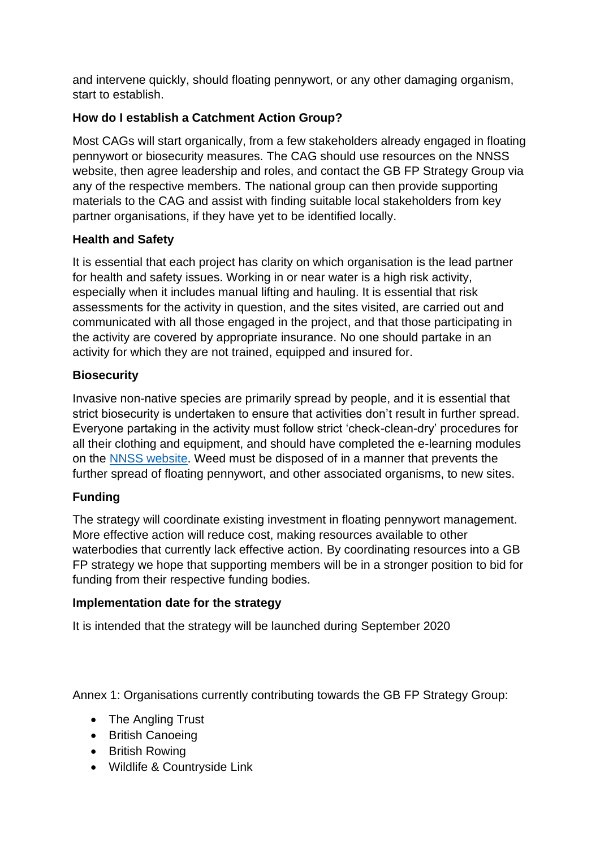and intervene quickly, should floating pennywort, or any other damaging organism, start to establish.

# **How do I establish a Catchment Action Group?**

Most CAGs will start organically, from a few stakeholders already engaged in floating pennywort or biosecurity measures. The CAG should use resources on the NNSS website, then agree leadership and roles, and contact the GB FP Strategy Group via any of the respective members. The national group can then provide supporting materials to the CAG and assist with finding suitable local stakeholders from key partner organisations, if they have yet to be identified locally.

# **Health and Safety**

It is essential that each project has clarity on which organisation is the lead partner for health and safety issues. Working in or near water is a high risk activity, especially when it includes manual lifting and hauling. It is essential that risk assessments for the activity in question, and the sites visited, are carried out and communicated with all those engaged in the project, and that those participating in the activity are covered by appropriate insurance. No one should partake in an activity for which they are not trained, equipped and insured for.

# **Biosecurity**

Invasive non-native species are primarily spread by people, and it is essential that strict biosecurity is undertaken to ensure that activities don't result in further spread. Everyone partaking in the activity must follow strict 'check-clean-dry' procedures for all their clothing and equipment, and should have completed the e-learning modules on the [NNSS website.](http://www.nonnativespecies.org/elearning/) Weed must be disposed of in a manner that prevents the further spread of floating pennywort, and other associated organisms, to new sites.

# **Funding**

The strategy will coordinate existing investment in floating pennywort management. More effective action will reduce cost, making resources available to other waterbodies that currently lack effective action. By coordinating resources into a GB FP strategy we hope that supporting members will be in a stronger position to bid for funding from their respective funding bodies.

## **Implementation date for the strategy**

It is intended that the strategy will be launched during September 2020

Annex 1: Organisations currently contributing towards the GB FP Strategy Group:

- The Angling Trust
- British Canoeing
- British Rowing
- Wildlife & Countryside Link